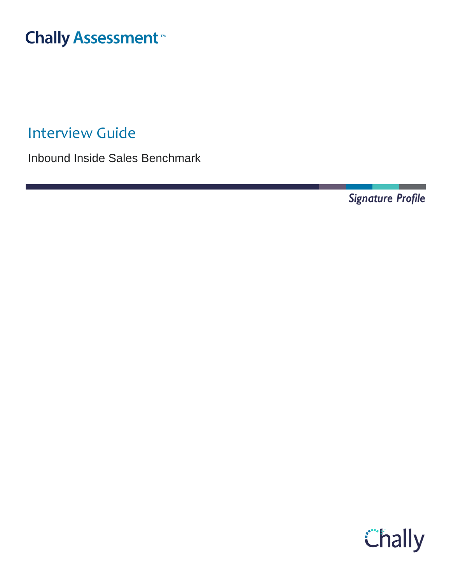# **Chally Assessment**

Interview Guide

Inbound Inside Sales Benchmark

Signature Profile

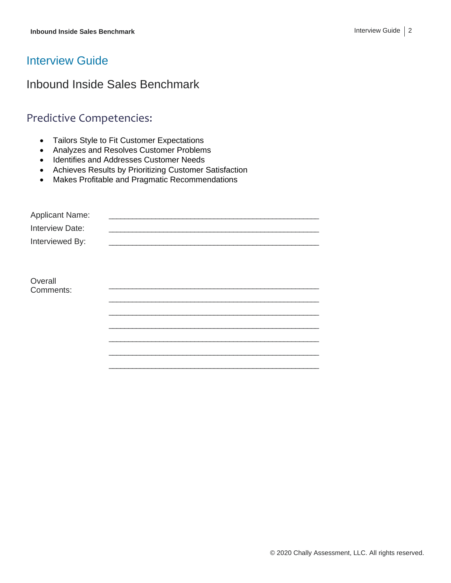#### Interview Guide

## Inbound Inside Sales Benchmark

## Predictive Competencies:

- Tailors Style to Fit Customer Expectations
- Analyzes and Resolves Customer Problems
- Identifies and Addresses Customer Needs
- Achieves Results by Prioritizing Customer Satisfaction
- Makes Profitable and Pragmatic Recommendations

| <b>Applicant Name:</b> |  |
|------------------------|--|
| Interview Date:        |  |
| Interviewed By:        |  |
|                        |  |
|                        |  |
| Overall                |  |
| Comments:              |  |
|                        |  |
|                        |  |
|                        |  |
|                        |  |
|                        |  |
|                        |  |
|                        |  |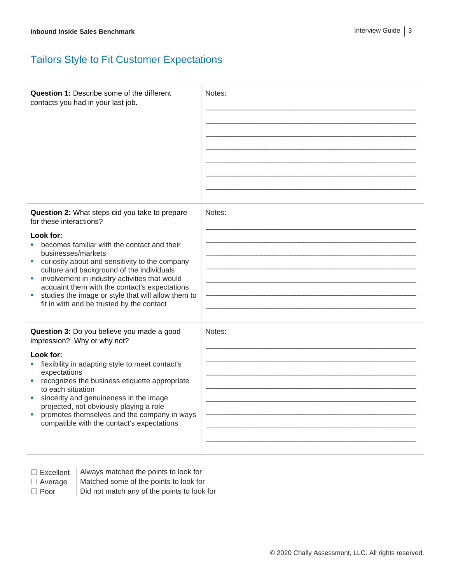# Tailors Style to Fit Customer Expectations

| <b>Question 1: Describe some of the different</b><br>contacts you had in your last job.                                                                                                                                                                                                                                                                                                                                                                                                        | Notes: |
|------------------------------------------------------------------------------------------------------------------------------------------------------------------------------------------------------------------------------------------------------------------------------------------------------------------------------------------------------------------------------------------------------------------------------------------------------------------------------------------------|--------|
| Question 2: What steps did you take to prepare<br>for these interactions?<br>Look for:<br>becomes familiar with the contact and their<br>businesses/markets<br>curiosity about and sensitivity to the company<br><b>Contract</b><br>culture and background of the individuals<br>involvement in industry activities that would<br>m.<br>acquaint them with the contact's expectations<br>studies the image or style that will allow them to<br>m.<br>fit in with and be trusted by the contact | Notes: |
| Question 3: Do you believe you made a good<br>impression? Why or why not?<br>Look for:<br>flexibility in adapting style to meet contact's<br>expectations<br>recognizes the business etiquette appropriate<br>a.<br>to each situation<br>sincerity and genuineness in the image<br>ш<br>projected, not obviously playing a role<br>promotes themselves and the company in ways<br>ш<br>compatible with the contact's expectations                                                              | Notes: |

- 
- □ Excellent | Always matched the points to look for
- 
- $\Box$  Average  $\parallel$  Matched some of the points to look for
- $\Box$  Poor  $\Box$  Did not match any of the points to look for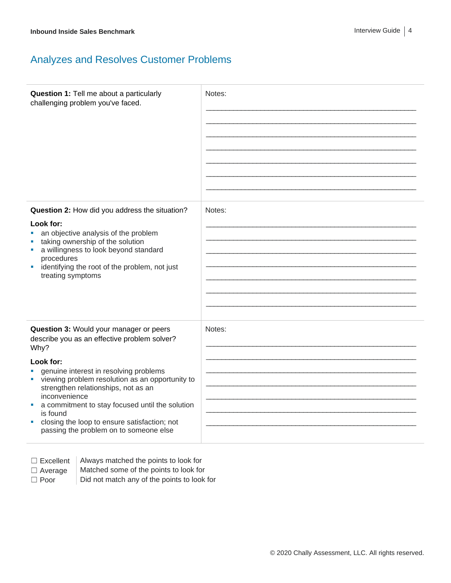## Analyzes and Resolves Customer Problems

| Question 1: Tell me about a particularly<br>challenging problem you've faced.                                                                                                                                                                                                                                                                                                                                                        | Notes: |
|--------------------------------------------------------------------------------------------------------------------------------------------------------------------------------------------------------------------------------------------------------------------------------------------------------------------------------------------------------------------------------------------------------------------------------------|--------|
| Question 2: How did you address the situation?<br>Look for:<br>an objective analysis of the problem<br>×<br>taking ownership of the solution<br>a willingness to look beyond standard<br>×<br>procedures<br>identifying the root of the problem, not just<br>ш<br>treating symptoms                                                                                                                                                  | Notes: |
| Question 3: Would your manager or peers<br>describe you as an effective problem solver?<br>Why?<br>Look for:<br>genuine interest in resolving problems<br>viewing problem resolution as an opportunity to<br>×<br>strengthen relationships, not as an<br>inconvenience<br>a commitment to stay focused until the solution<br>is found<br>closing the loop to ensure satisfaction; not<br>ш<br>passing the problem on to someone else | Notes: |

 $\Box$  Excellent | Always matched the points to look for  $\Box$  Average  $\parallel$  Matched some of the points to look for

 $\Box$  Poor  $\Box$  Did not match any of the points to look for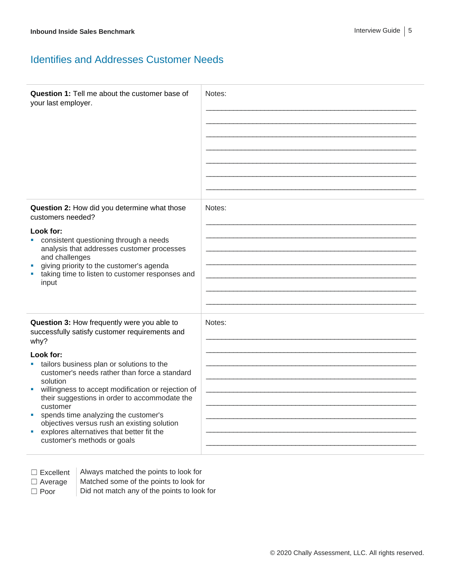#### Identifies and Addresses Customer Needs

| Question 1: Tell me about the customer base of<br>your last employer.                                                                                                                                                                                                                                                                                                                                                                                                                                                         | Notes: |
|-------------------------------------------------------------------------------------------------------------------------------------------------------------------------------------------------------------------------------------------------------------------------------------------------------------------------------------------------------------------------------------------------------------------------------------------------------------------------------------------------------------------------------|--------|
| Question 2: How did you determine what those<br>customers needed?<br>Look for:<br>consistent questioning through a needs<br>a.<br>analysis that addresses customer processes<br>and challenges<br>giving priority to the customer's agenda<br>taking time to listen to customer responses and<br>input                                                                                                                                                                                                                        | Notes: |
| Question 3: How frequently were you able to<br>successfully satisfy customer requirements and<br>why?<br>Look for:<br>tailors business plan or solutions to the<br>customer's needs rather than force a standard<br>solution<br>willingness to accept modification or rejection of<br>Ù,<br>their suggestions in order to accommodate the<br>customer<br>spends time analyzing the customer's<br>ш<br>objectives versus rush an existing solution<br>explores alternatives that better fit the<br>customer's methods or goals | Notes: |

 $\Box$  Excellent  $\parallel$  Always matched the points to look for  $\Box$  Average  $\parallel$  Matched some of the points to look for  $\Box$  Poor  $\Box$  Did not match any of the points to look for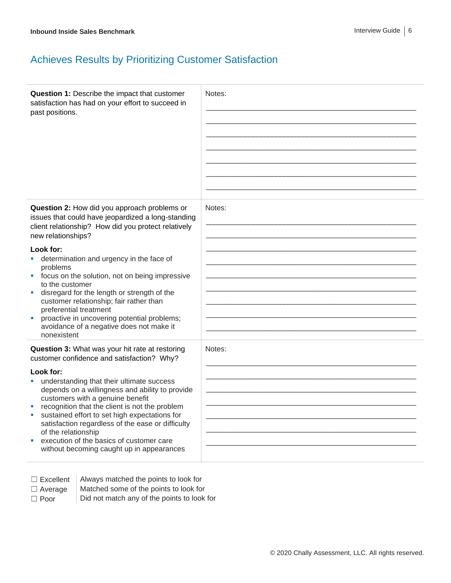# Achieves Results by Prioritizing Customer Satisfaction

| Question 1: Describe the impact that customer<br>satisfaction has had on your effort to succeed in<br>past positions.                                                                                                                                                                                                                                                                                                                                                                                                                                         | Notes: |
|---------------------------------------------------------------------------------------------------------------------------------------------------------------------------------------------------------------------------------------------------------------------------------------------------------------------------------------------------------------------------------------------------------------------------------------------------------------------------------------------------------------------------------------------------------------|--------|
| Question 2: How did you approach problems or<br>issues that could have jeopardized a long-standing<br>client relationship? How did you protect relatively<br>new relationships?<br>Look for:<br>determination and urgency in the face of<br>problems<br>focus on the solution, not on being impressive<br>a.<br>to the customer<br>disregard for the length or strength of the<br>customer relationship; fair rather than<br>preferential treatment<br>proactive in uncovering potential problems;<br>avoidance of a negative does not make it<br>nonexistent | Notes: |
| Question 3: What was your hit rate at restoring<br>customer confidence and satisfaction? Why?<br>Look for:<br>understanding that their ultimate success<br>depends on a willingness and ability to provide<br>customers with a genuine benefit<br>recognition that the client is not the problem<br>sustained effort to set high expectations for<br>satisfaction regardless of the ease or difficulty<br>of the relationship<br>execution of the basics of customer care<br>without becoming caught up in appearances                                        | Notes: |

 $\Box$  Excellent  $\parallel$  Always matched the points to look for

 $\Box$  Average  $\parallel$  Matched some of the points to look for

 $\Box$  Poor  $\Box$  Did not match any of the points to look for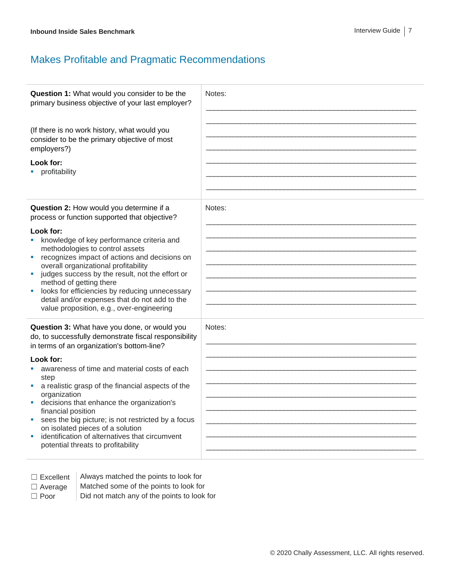## Makes Profitable and Pragmatic Recommendations

| Question 1: What would you consider to be the<br>primary business objective of your last employer?<br>(If there is no work history, what would you<br>consider to be the primary objective of most<br>employers?)<br>Look for:<br>• profitability                                                                                                                                                                                                                                                                                                            | Notes: |
|--------------------------------------------------------------------------------------------------------------------------------------------------------------------------------------------------------------------------------------------------------------------------------------------------------------------------------------------------------------------------------------------------------------------------------------------------------------------------------------------------------------------------------------------------------------|--------|
| Question 2: How would you determine if a<br>process or function supported that objective?<br>Look for:<br>knowledge of key performance criteria and<br>methodologies to control assets<br>recognizes impact of actions and decisions on<br>u,<br>overall organizational profitability<br>judges success by the result, not the effort or<br>method of getting there<br>looks for efficiencies by reducing unnecessary<br>detail and/or expenses that do not add to the<br>value proposition, e.g., over-engineering                                          | Notes: |
| Question 3: What have you done, or would you<br>do, to successfully demonstrate fiscal responsibility<br>in terms of an organization's bottom-line?<br>Look for:<br>awareness of time and material costs of each<br>step<br>a realistic grasp of the financial aspects of the<br>organization<br>decisions that enhance the organization's<br>ш<br>financial position<br>sees the big picture; is not restricted by a focus<br>ш<br>on isolated pieces of a solution<br>identification of alternatives that circumvent<br>potential threats to profitability | Notes: |

□ Excellent | Always matched the points to look for

- $\Box$  Average  $\parallel$  Matched some of the points to look for
- $\Box$  Poor  $\Box$  Did not match any of the points to look for